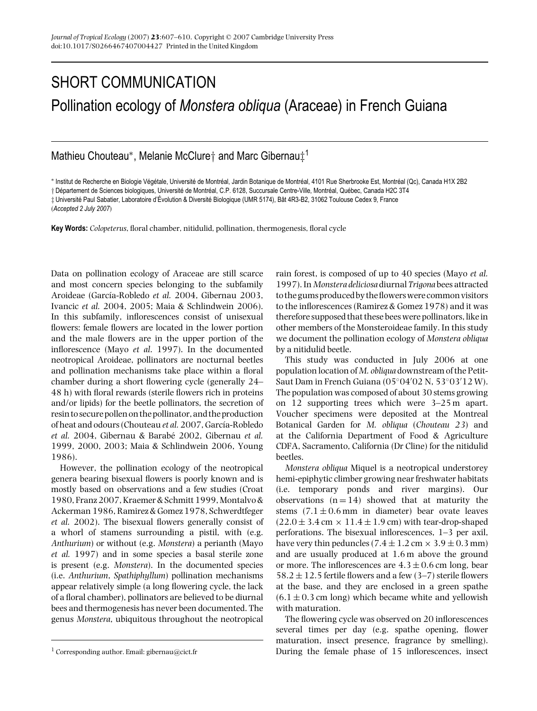## SHORT COMMUNICATION Pollination ecology of *Monstera obliqua* (Araceae) in French Guiana

## Mathieu Chouteau∗, Melanie McClure† and Marc Gibernau‡<sup>1</sup>

\* Institut de Recherche en Biologie Végétale, Université de Montréal, Jardin Botanique de Montréal, 4101 Rue Sherbrooke Est, Montréal (Qc), Canada H1X 2B2

† Département de Sciences biologiques, Université de Montréal, C.P. 6128, Succursale Centre-Ville, Montréal, Québec, Canada H2C 3T4

 $\ddagger$  Université Paul Sabatier, Laboratoire d'Évolution & Diversité Biologique (UMR 5174), Bât 4R3-B2, 31062 Toulouse Cedex 9, France

**Key Words:** *Colopeterus*, floral chamber, nitidulid, pollination, thermogenesis, floral cycle

Data on pollination ecology of Araceae are still scarce and most concern species belonging to the subfamily Aroideae (García-Robledo et al. 2004, Gibernau 2003, Ivancic *et al.* 2004, 2005; Maia & Schlindwein 2006). In this subfamily, inflorescences consist of unisexual flowers: female flowers are located in the lower portion and the male flowers are in the upper portion of the inflorescence (Mayo *et al*. 1997). In the documented neotropical Aroideae, pollinators are nocturnal beetles and pollination mechanisms take place within a floral chamber during a short flowering cycle (generally 24– 48 h) with floral rewards (sterile flowers rich in proteins and/or lipids) for the beetle pollinators, the secretion of resin to secure pollen on the pollinator, and the production of heat and odours (Chouteau et al. 2007, García-Robledo *et al.* 2004, Gibernau & Barabé 2002, Gibernau et al. 1999, 2000, 2003; Maia & Schlindwein 2006, Young 1986).

However, the pollination ecology of the neotropical genera bearing bisexual flowers is poorly known and is mostly based on observations and a few studies (Croat 1980, Franz 2007, Kraemer & Schmitt 1999, Montalvo & Ackerman 1986, Ramirez & Gomez 1978, Schwerdtfeger *et al.* 2002). The bisexual flowers generally consist of a whorl of stamens surrounding a pistil, with (e.g. *Anthurium*) or without (e.g. *Monstera*) a perianth (Mayo *et al.* 1997) and in some species a basal sterile zone is present (e.g. *Monstera*). In the documented species (i.e. *Anthurium*, *Spathiphyllum*) pollination mechanisms appear relatively simple (a long flowering cycle, the lack of a floral chamber), pollinators are believed to be diurnal bees and thermogenesis has never been documented. The genus *Monstera*, ubiquitous throughout the neotropical

rain forest, is composed of up to 40 species (Mayo *et al.* 1997). In *Monstera deliciosa* diurnal *Trigona* bees attracted to the gums produced by the flowerswere common visitors to the inflorescences (Ramirez & Gomez 1978) and it was therefore supposed that these bees were pollinators, like in other members of the Monsteroideae family. In this study we document the pollination ecology of *Monstera obliqua* by a nitidulid beetle.

This study was conducted in July 2006 at one population location of *M. obliqua* downstream of the Petit-Saut Dam in French Guiana (05◦04 02 N, 53◦03 12 W). The population was composed of about 30 stems growing on 12 supporting trees which were 3–25 m apart. Voucher specimens were deposited at the Montreal Botanical Garden for *M. obliqua* (*Chouteau 23*) and at the California Department of Food & Agriculture CDFA, Sacramento, California (Dr Cline) for the nitidulid beetles.

*Monstera obliqua* Miquel is a neotropical understorey hemi-epiphytic climber growing near freshwater habitats (i.e. temporary ponds and river margins). Our observations  $(n = 14)$  showed that at maturity the stems  $(7.1 \pm 0.6 \,\text{mm})$  in diameter) bear ovate leaves  $(22.0 \pm 3.4 \text{ cm} \times 11.4 \pm 1.9 \text{ cm})$  with tear-drop-shaped perforations. The bisexual inflorescences, 1–3 per axil, have very thin peduncles (7.4  $\pm$  1.2 cm  $\times$  3.9  $\pm$  0.3 mm) and are usually produced at 1.6 m above the ground or more. The inflorescences are  $4.3 \pm 0.6$  cm long, bear  $58.2 \pm 12.5$  fertile flowers and a few (3–7) sterile flowers at the base, and they are enclosed in a green spathe  $(6.1 \pm 0.3 \text{ cm} \text{ long})$  which became white and yellowish with maturation.

The flowering cycle was observed on 20 inflorescences several times per day (e.g. spathe opening, flower maturation, insect presence, fragrance by smelling). During the female phase of 15 inflorescences, insect

<sup>(</sup>*Accepted 2 July 2007*)

<sup>&</sup>lt;sup>1</sup> Corresponding author. Email: gibernau@cict.fr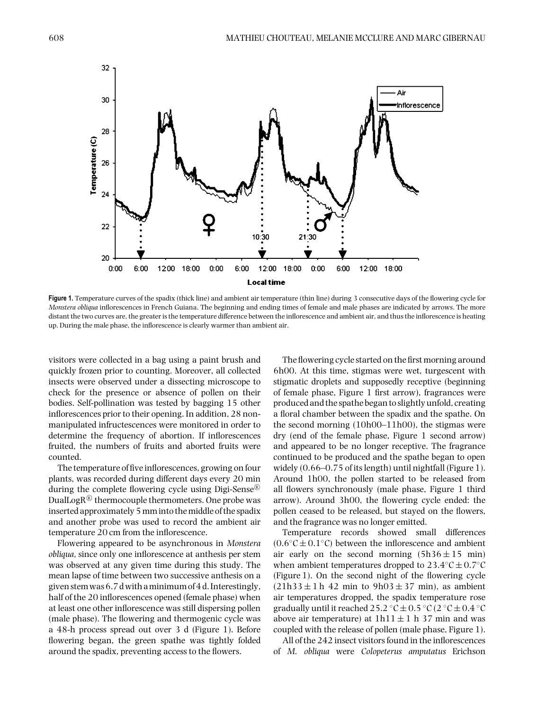

Figure 1. Temperature curves of the spadix (thick line) and ambient air temperature (thin line) during 3 consecutive days of the flowering cycle for *Monstera obliqua* inflorescences in French Guiana. The beginning and ending times of female and male phases are indicated by arrows. The more distant the two curves are, the greater is the temperature difference between the inflorescence and ambient air, and thus the inflorescence is heating up. During the male phase, the inflorescence is clearly warmer than ambient air.

visitors were collected in a bag using a paint brush and quickly frozen prior to counting. Moreover, all collected insects were observed under a dissecting microscope to check for the presence or absence of pollen on their bodies. Self-pollination was tested by bagging 15 other inflorescences prior to their opening. In addition, 28 nonmanipulated infructescences were monitored in order to determine the frequency of abortion. If inflorescences fruited, the numbers of fruits and aborted fruits were counted.

The temperature of five inflorescences, growing on four plants, was recorded during different days every 20 min during the complete flowering cycle using Digi-Sense<sup> $\&$ </sup> DualLogR $\mathbb B$  thermocouple thermometers. One probe was inserted approximately 5 mm into the middle of the spadix and another probe was used to record the ambient air temperature 20 cm from the inflorescence.

Flowering appeared to be asynchronous in *Monstera obliqua*, since only one inflorescence at anthesis per stem was observed at any given time during this study. The mean lapse of time between two successive anthesis on a given stemwas 6.7 dwith aminimum of 4 d. Interestingly, half of the 20 inflorescences opened (female phase) when at least one other inflorescence was still dispersing pollen (male phase). The flowering and thermogenic cycle was a 48-h process spread out over 3 d (Figure 1). Before flowering began, the green spathe was tightly folded around the spadix, preventing access to the flowers.

The flowering cycle started on the first morning around 6h00. At this time, stigmas were wet, turgescent with stigmatic droplets and supposedly receptive (beginning of female phase, Figure 1 first arrow), fragrances were produced and the spathe began to slightly unfold, creating a floral chamber between the spadix and the spathe. On the second morning (10h00–11h00), the stigmas were dry (end of the female phase, Figure 1 second arrow) and appeared to be no longer receptive. The fragrance continued to be produced and the spathe began to open widely (0.66–0.75 of its length) until nightfall (Figure 1). Around 1h00, the pollen started to be released from all flowers synchronously (male phase, Figure 1 third arrow). Around 3h00, the flowering cycle ended: the pollen ceased to be released, but stayed on the flowers, and the fragrance was no longer emitted.

Temperature records showed small differences  $(0.6 °C \pm 0.1 °C)$  between the inflorescence and ambient air early on the second morning  $(5h36 \pm 15 \text{ min})$ when ambient temperatures dropped to  $23.4 °C \pm 0.7 °C$ (Figure 1). On the second night of the flowering cycle  $(21h33 \pm 1h42)$  min to  $9h03 \pm 37$  min), as ambient air temperatures dropped, the spadix temperature rose gradually until it reached 25.2 °C  $\pm$  0.5 °C (2 °C  $\pm$  0.4 °C above air temperature) at  $1h11 \pm 1 h37$  min and was coupled with the release of pollen (male phase, Figure 1).

All of the 242 insect visitors found in the inflorescences of *M. obliqua* were *Colopeterus amputatus* Erichson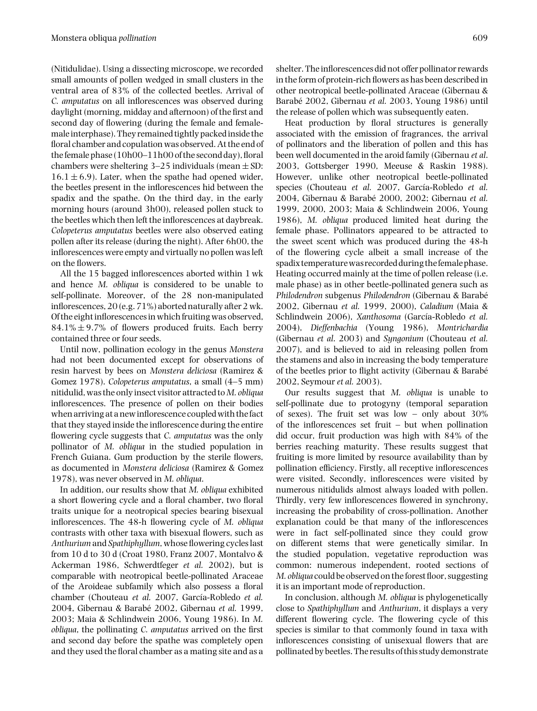(Nitidulidae). Using a dissecting microscope, we recorded small amounts of pollen wedged in small clusters in the ventral area of 83% of the collected beetles. Arrival of *C. amputatus* on all inflorescences was observed during daylight (morning, midday and afternoon) of the first and second day of flowering (during the female and femalemale interphase). They remained tightly packed inside the floral chamber and copulation was observed. At the end of the female phase (10h00–11h00 of the second day), floral chambers were sheltering  $3-25$  individuals (mean  $\pm$  SD:  $16.1 \pm 6.9$ ). Later, when the spathe had opened wider, the beetles present in the inflorescences hid between the spadix and the spathe. On the third day, in the early morning hours (around 3h00), released pollen stuck to the beetles which then left the inflorescences at daybreak. *Colopeterus amputatus* beetles were also observed eating pollen after its release (during the night). After 6h00, the inflorescences were empty and virtually no pollen was left on the flowers.

All the 15 bagged inflorescences aborted within 1 wk and hence *M. obliqua* is considered to be unable to self-pollinate. Moreover, of the 28 non-manipulated inflorescences, 20 (e.g. 71%) aborted naturally after 2 wk. Of the eight inflorescences in which fruiting was observed,  $84.1\% \pm 9.7\%$  of flowers produced fruits. Each berry contained three or four seeds.

Until now, pollination ecology in the genus *Monstera* had not been documented except for observations of resin harvest by bees on *Monstera deliciosa* (Ramirez & Gomez 1978). *Colopeterus amputatus*, a small (4–5 mm) nitidulid, was the only insect visitor attracted to*M. obliqua* inflorescences. The presence of pollen on their bodies when arriving at a newinflorescence coupled with thefact that they stayed inside the inflorescence during the entire flowering cycle suggests that *C. amputatus* was the only pollinator of *M. obliqua* in the studied population in French Guiana. Gum production by the sterile flowers, as documented in *Monstera deliciosa* (Ramirez & Gomez 1978), was never observed in *M. obliqua*.

In addition, our results show that *M. obliqua* exhibited a short flowering cycle and a floral chamber, two floral traits unique for a neotropical species bearing bisexual inflorescences. The 48-h flowering cycle of *M. obliqua* contrasts with other taxa with bisexual flowers, such as *Anthurium* and *Spathiphyllum*, whose flowering cycles last from 10 d to 30 d (Croat 1980, Franz 2007, Montalvo & Ackerman 1986, Schwerdtfeger *et al.* 2002), but is comparable with neotropical beetle-pollinated Araceae of the Aroideae subfamily which also possess a floral chamber (Chouteau et al. 2007, García-Robledo et al. 2004, Gibernau & Barabé 2002, Gibernau et al. 1999, 2003; Maia & Schlindwein 2006, Young 1986). In *M. obliqua*, the pollinating *C. amputatus* arrived on the first and second day before the spathe was completely open and they used the floral chamber as a mating site and as a

shelter. The inflorescences did not offer pollinator rewards in the form of protein-rich flowers as has been described in other neotropical beetle-pollinated Araceae (Gibernau & Barabé 2002, Gibernau *et al.* 2003, Young 1986) until the release of pollen which was subsequently eaten.

Heat production by floral structures is generally associated with the emission of fragrances, the arrival of pollinators and the liberation of pollen and this has been well documented in the aroid family (Gibernau *et al*. 2003, Gottsberger 1990, Meeuse & Raskin 1988). However, unlike other neotropical beetle-pollinated species (Chouteau et al. 2007, García-Robledo et al. 2004, Gibernau & Barabé 2000, 2002; Gibernau et al. 1999, 2000, 2003; Maia & Schlindwein 2006, Young 1986), *M. obliqua* produced limited heat during the female phase. Pollinators appeared to be attracted to the sweet scent which was produced during the 48-h of the flowering cycle albeit a small increase of the spadix temperature was recorded during the female phase. Heating occurred mainly at the time of pollen release (i.e. male phase) as in other beetle-pollinated genera such as *Philodendron* subgenus *Philodendron* (Gibernau & Barabe´ 2002, Gibernau *et al.* 1999, 2000), *Caladium* (Maia & Schlindwein 2006), *Xanthosoma* (García-Robledo et al. 2004), *Dieffenbachia* (Young 1986), *Montrichardia* (Gibernau *et al*. 2003) and *Syngonium* (Chouteau *et al.* 2007), and is believed to aid in releasing pollen from the stamens and also in increasing the body temperature of the beetles prior to flight activity (Gibernau & Barabe´ 2002, Seymour *et al.* 2003).

Our results suggest that *M. obliqua* is unable to self-pollinate due to protogyny (temporal separation of sexes). The fruit set was low – only about 30% of the inflorescences set fruit – but when pollination did occur, fruit production was high with 84% of the berries reaching maturity. These results suggest that fruiting is more limited by resource availability than by pollination efficiency. Firstly, all receptive inflorescences were visited. Secondly, inflorescences were visited by numerous nitidulids almost always loaded with pollen. Thirdly, very few inflorescences flowered in synchrony, increasing the probability of cross-pollination. Another explanation could be that many of the inflorescences were in fact self-pollinated since they could grow on different stems that were genetically similar. In the studied population, vegetative reproduction was common: numerous independent, rooted sections of *M. obliqua* could be observed on the forest floor, suggesting it is an important mode of reproduction.

In conclusion, although *M. obliqua* is phylogenetically close to *Spathiphyllum* and *Anthurium*, it displays a very different flowering cycle. The flowering cycle of this species is similar to that commonly found in taxa with inflorescences consisting of unisexual flowers that are pollinated by beetles. The results of this study demonstrate